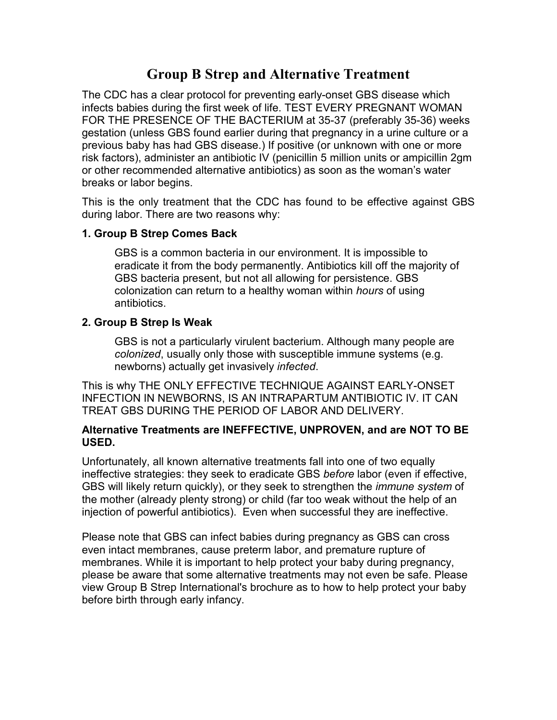## **Group B Strep and Alternative Treatment**

The CDC has a clear protocol for preventing early-onset GBS disease which infects babies during the first week of life. TEST EVERY PREGNANT WOMAN FOR THE PRESENCE OF THE BACTERIUM at 35-37 (preferably 35-36) weeks gestation (unless GBS found earlier during that pregnancy in a urine culture or a previous baby has had GBS disease.) If positive (or unknown with one or more risk factors), administer an antibiotic IV (penicillin 5 million units or ampicillin 2gm or other recommended alternative antibiotics) as soon as the woman's water breaks or labor begins.

This is the only treatment that the CDC has found to be effective against GBS during labor. There are two reasons why:

## **1. Group B Strep Comes Back**

GBS is a common bacteria in our environment. It is impossible to eradicate it from the body permanently. Antibiotics kill off the majority of GBS bacteria present, but not all allowing for persistence. GBS colonization can return to a healthy woman within *hours* of using antibiotics.

## **2. Group B Strep Is Weak**

GBS is not a particularly virulent bacterium. Although many people are *colonized*, usually only those with susceptible immune systems (e.g. newborns) actually get invasively *infected*.

This is why THE ONLY EFFECTIVE TECHNIQUE AGAINST EARLY-ONSET INFECTION IN NEWBORNS, IS AN INTRAPARTUM ANTIBIOTIC IV. IT CAN TREAT GBS DURING THE PERIOD OF LABOR AND DELIVERY.

## **Alternative Treatments are INEFFECTIVE, UNPROVEN, and are NOT TO BE USED.**

Unfortunately, all known alternative treatments fall into one of two equally ineffective strategies: they seek to eradicate GBS *before* labor (even if effective, GBS will likely return quickly), or they seek to strengthen the *immune system* of the mother (already plenty strong) or child (far too weak without the help of an injection of powerful antibiotics). Even when successful they are ineffective.

Please note that GBS can infect babies during pregnancy as GBS can cross even intact membranes, cause preterm labor, and premature rupture of membranes. While it is important to help protect your baby during pregnancy, please be aware that some alternative treatments may not even be safe. Please view Group B Strep International's brochure as to how to help protect your baby before birth through early infancy.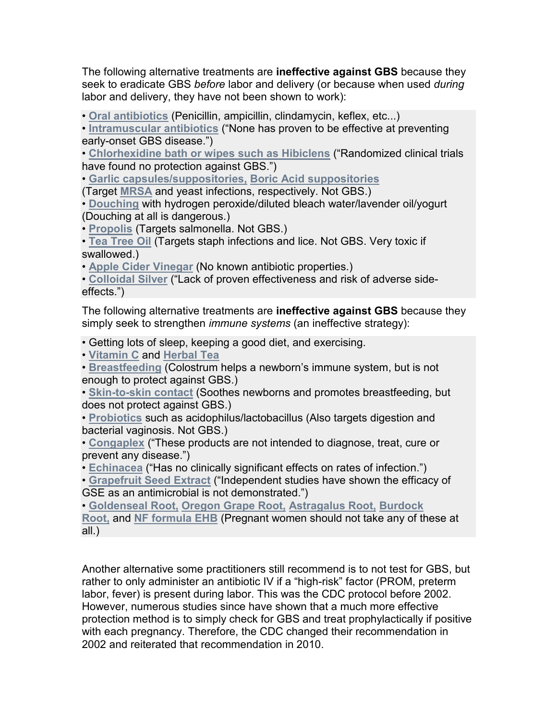The following alternative treatments are **ineffective against GBS** because they seek to eradicate GBS *before* labor and delivery (or because when used *during* labor and delivery, they have not been shown to work):

• **Oral antibiotics** (Penicillin, ampicillin, clindamycin, keflex, etc...)

• **Intramuscular antibiotics** ("None has proven to be effective at preventing early-onset GBS disease.")

• **Chlorhexidine bath or wipes such as Hibiclens** ("Randomized clinical trials have found no protection against GBS.")

• **Garlic capsules/suppositories, Boric Acid suppositories**

(Target **MRSA** and yeast infections, respectively. Not GBS.)

• **Douching** with hydrogen peroxide/diluted bleach water/lavender oil/yogurt (Douching at all is dangerous.)

• **Propolis** (Targets salmonella. Not GBS.)

• **Tea Tree Oil** (Targets staph infections and lice. Not GBS. Very toxic if swallowed.)

• **Apple Cider Vinegar** (No known antibiotic properties.)

• **Colloidal Silver** ("Lack of proven effectiveness and risk of adverse sideeffects.")

The following alternative treatments are **ineffective against GBS** because they simply seek to strengthen *immune systems* (an ineffective strategy):

• Getting lots of sleep, keeping a good diet, and exercising.

• **Vitamin C** and **Herbal Tea**

• **Breastfeeding** (Colostrum helps a newborn's immune system, but is not enough to protect against GBS.)

• **Skin-to-skin contact** (Soothes newborns and promotes breastfeeding, but does not protect against GBS.)

• **Probiotics** such as acidophilus/lactobacillus (Also targets digestion and bacterial vaginosis. Not GBS.)

• **Congaplex** ("These products are not intended to diagnose, treat, cure or prevent any disease.")

• **Echinacea** ("Has no clinically significant effects on rates of infection.")

• **Grapefruit Seed Extract** ("Independent studies have shown the efficacy of GSE as an antimicrobial is not demonstrated.")

• **Goldenseal Root, Oregon Grape Root, Astragalus Root, Burdock Root,** and **NF formula EHB** (Pregnant women should not take any of these at all.)

Another alternative some practitioners still recommend is to not test for GBS, but rather to only administer an antibiotic IV if a "high-risk" factor (PROM, preterm labor, fever) is present during labor. This was the CDC protocol before 2002. However, numerous studies since have shown that a much more effective protection method is to simply check for GBS and treat prophylactically if positive with each pregnancy. Therefore, the CDC changed their recommendation in 2002 and reiterated that recommendation in 2010.